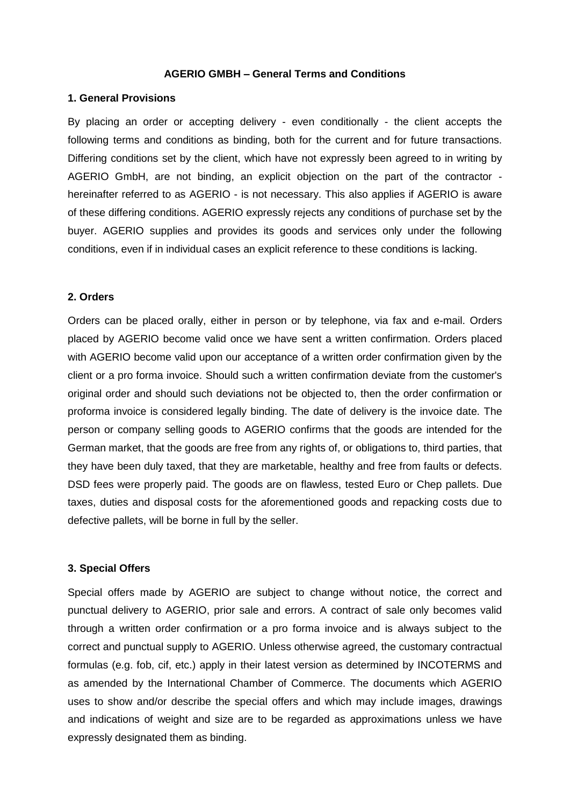## **AGERIO GMBH – General Terms and Conditions**

## **1. General Provisions**

By placing an order or accepting delivery - even conditionally - the client accepts the following terms and conditions as binding, both for the current and for future transactions. Differing conditions set by the client, which have not expressly been agreed to in writing by AGERIO GmbH, are not binding, an explicit objection on the part of the contractor hereinafter referred to as AGERIO - is not necessary. This also applies if AGERIO is aware of these differing conditions. AGERIO expressly rejects any conditions of purchase set by the buyer. AGERIO supplies and provides its goods and services only under the following conditions, even if in individual cases an explicit reference to these conditions is lacking.

## **2. Orders**

Orders can be placed orally, either in person or by telephone, via fax and e-mail. Orders placed by AGERIO become valid once we have sent a written confirmation. Orders placed with AGERIO become valid upon our acceptance of a written order confirmation given by the client or a pro forma invoice. Should such a written confirmation deviate from the customer's original order and should such deviations not be objected to, then the order confirmation or proforma invoice is considered legally binding. The date of delivery is the invoice date. The person or company selling goods to AGERIO confirms that the goods are intended for the German market, that the goods are free from any rights of, or obligations to, third parties, that they have been duly taxed, that they are marketable, healthy and free from faults or defects. DSD fees were properly paid. The goods are on flawless, tested Euro or Chep pallets. Due taxes, duties and disposal costs for the aforementioned goods and repacking costs due to defective pallets, will be borne in full by the seller.

## **3. Special Offers**

Special offers made by AGERIO are subject to change without notice, the correct and punctual delivery to AGERIO, prior sale and errors. A contract of sale only becomes valid through a written order confirmation or a pro forma invoice and is always subject to the correct and punctual supply to AGERIO. Unless otherwise agreed, the customary contractual formulas (e.g. fob, cif, etc.) apply in their latest version as determined by INCOTERMS and as amended by the International Chamber of Commerce. The documents which AGERIO uses to show and/or describe the special offers and which may include images, drawings and indications of weight and size are to be regarded as approximations unless we have expressly designated them as binding.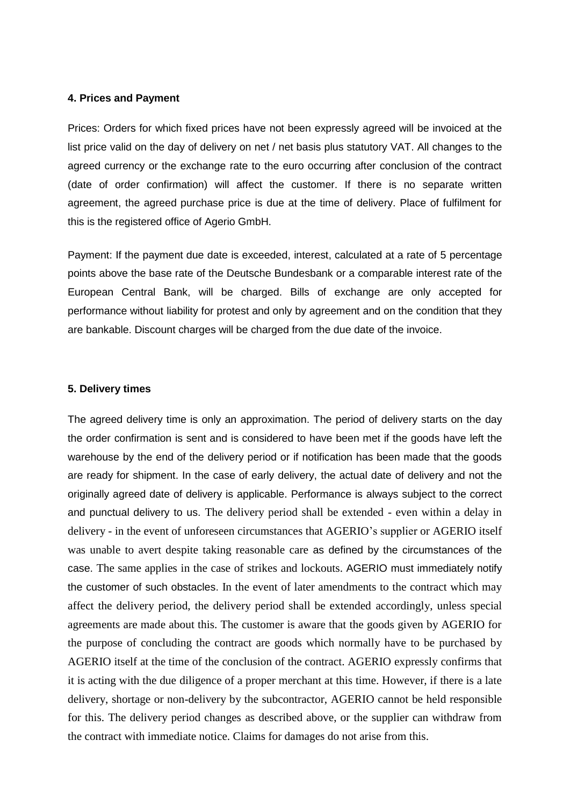## **4. Prices and Payment**

Prices: Orders for which fixed prices have not been expressly agreed will be invoiced at the list price valid on the day of delivery on net / net basis plus statutory VAT. All changes to the agreed currency or the exchange rate to the euro occurring after conclusion of the contract (date of order confirmation) will affect the customer. If there is no separate written agreement, the agreed purchase price is due at the time of delivery. Place of fulfilment for this is the registered office of Agerio GmbH.

Payment: If the payment due date is exceeded, interest, calculated at a rate of 5 percentage points above the base rate of the Deutsche Bundesbank or a comparable interest rate of the European Central Bank, will be charged. Bills of exchange are only accepted for performance without liability for protest and only by agreement and on the condition that they are bankable. Discount charges will be charged from the due date of the invoice.

## **5. Delivery times**

The agreed delivery time is only an approximation. The period of delivery starts on the day the order confirmation is sent and is considered to have been met if the goods have left the warehouse by the end of the delivery period or if notification has been made that the goods are ready for shipment. In the case of early delivery, the actual date of delivery and not the originally agreed date of delivery is applicable. Performance is always subject to the correct and punctual delivery to us. The delivery period shall be extended - even within a delay in delivery - in the event of unforeseen circumstances that AGERIO's supplier or AGERIO itself was unable to avert despite taking reasonable care as defined by the circumstances of the case. The same applies in the case of strikes and lockouts. AGERIO must immediately notify the customer of such obstacles. In the event of later amendments to the contract which may affect the delivery period, the delivery period shall be extended accordingly, unless special agreements are made about this. The customer is aware that the goods given by AGERIO for the purpose of concluding the contract are goods which normally have to be purchased by AGERIO itself at the time of the conclusion of the contract. AGERIO expressly confirms that it is acting with the due diligence of a proper merchant at this time. However, if there is a late delivery, shortage or non-delivery by the subcontractor, AGERIO cannot be held responsible for this. The delivery period changes as described above, or the supplier can withdraw from the contract with immediate notice. Claims for damages do not arise from this.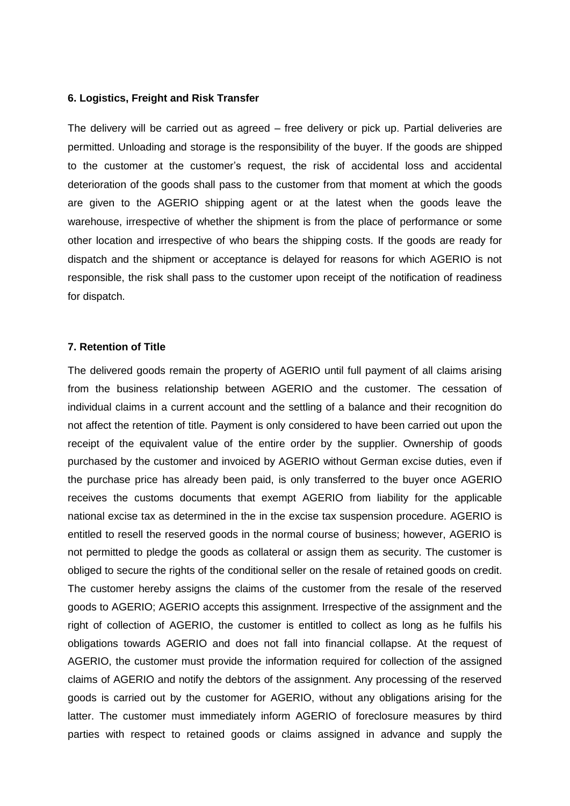## **6. Logistics, Freight and Risk Transfer**

The delivery will be carried out as agreed – free delivery or pick up. Partial deliveries are permitted. Unloading and storage is the responsibility of the buyer. If the goods are shipped to the customer at the customer's request, the risk of accidental loss and accidental deterioration of the goods shall pass to the customer from that moment at which the goods are given to the AGERIO shipping agent or at the latest when the goods leave the warehouse, irrespective of whether the shipment is from the place of performance or some other location and irrespective of who bears the shipping costs. If the goods are ready for dispatch and the shipment or acceptance is delayed for reasons for which AGERIO is not responsible, the risk shall pass to the customer upon receipt of the notification of readiness for dispatch.

#### **7. Retention of Title**

The delivered goods remain the property of AGERIO until full payment of all claims arising from the business relationship between AGERIO and the customer. The cessation of individual claims in a current account and the settling of a balance and their recognition do not affect the retention of title. Payment is only considered to have been carried out upon the receipt of the equivalent value of the entire order by the supplier. Ownership of goods purchased by the customer and invoiced by AGERIO without German excise duties, even if the purchase price has already been paid, is only transferred to the buyer once AGERIO receives the customs documents that exempt AGERIO from liability for the applicable national excise tax as determined in the in the excise tax suspension procedure. AGERIO is entitled to resell the reserved goods in the normal course of business; however, AGERIO is not permitted to pledge the goods as collateral or assign them as security. The customer is obliged to secure the rights of the conditional seller on the resale of retained goods on credit. The customer hereby assigns the claims of the customer from the resale of the reserved goods to AGERIO; AGERIO accepts this assignment. Irrespective of the assignment and the right of collection of AGERIO, the customer is entitled to collect as long as he fulfils his obligations towards AGERIO and does not fall into financial collapse. At the request of AGERIO, the customer must provide the information required for collection of the assigned claims of AGERIO and notify the debtors of the assignment. Any processing of the reserved goods is carried out by the customer for AGERIO, without any obligations arising for the latter. The customer must immediately inform AGERIO of foreclosure measures by third parties with respect to retained goods or claims assigned in advance and supply the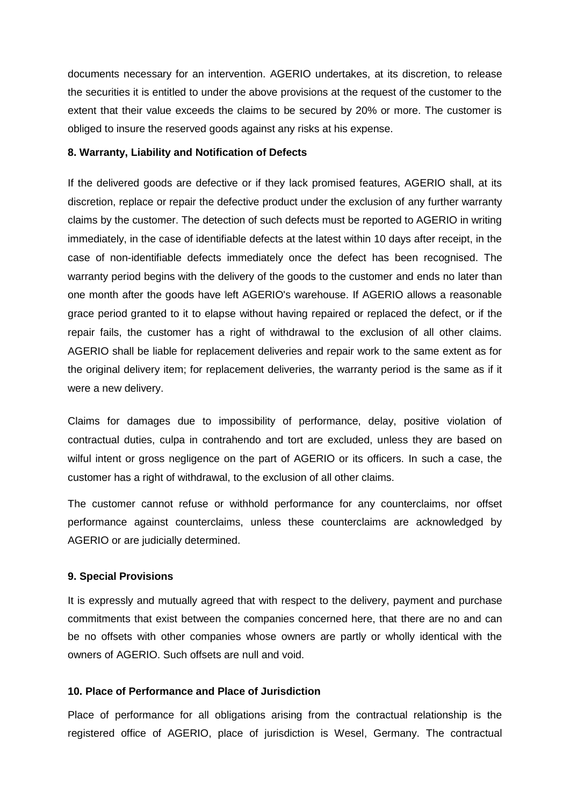documents necessary for an intervention. AGERIO undertakes, at its discretion, to release the securities it is entitled to under the above provisions at the request of the customer to the extent that their value exceeds the claims to be secured by 20% or more. The customer is obliged to insure the reserved goods against any risks at his expense.

## **8. Warranty, Liability and Notification of Defects**

If the delivered goods are defective or if they lack promised features, AGERIO shall, at its discretion, replace or repair the defective product under the exclusion of any further warranty claims by the customer. The detection of such defects must be reported to AGERIO in writing immediately, in the case of identifiable defects at the latest within 10 days after receipt, in the case of non-identifiable defects immediately once the defect has been recognised. The warranty period begins with the delivery of the goods to the customer and ends no later than one month after the goods have left AGERIO's warehouse. If AGERIO allows a reasonable grace period granted to it to elapse without having repaired or replaced the defect, or if the repair fails, the customer has a right of withdrawal to the exclusion of all other claims. AGERIO shall be liable for replacement deliveries and repair work to the same extent as for the original delivery item; for replacement deliveries, the warranty period is the same as if it were a new delivery.

Claims for damages due to impossibility of performance, delay, positive violation of contractual duties, culpa in contrahendo and tort are excluded, unless they are based on wilful intent or gross negligence on the part of AGERIO or its officers. In such a case, the customer has a right of withdrawal, to the exclusion of all other claims.

The customer cannot refuse or withhold performance for any counterclaims, nor offset performance against counterclaims, unless these counterclaims are acknowledged by AGERIO or are judicially determined.

## **9. Special Provisions**

It is expressly and mutually agreed that with respect to the delivery, payment and purchase commitments that exist between the companies concerned here, that there are no and can be no offsets with other companies whose owners are partly or wholly identical with the owners of AGERIO. Such offsets are null and void.

## **10. Place of Performance and Place of Jurisdiction**

Place of performance for all obligations arising from the contractual relationship is the registered office of AGERIO, place of jurisdiction is Wesel, Germany. The contractual